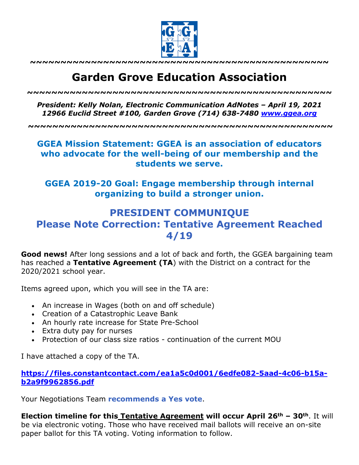

**~~~~~~~~~~~~~~~~~~~~~~~~~~~~~~~~~~~~~~~~~~~~~~~~~**

# **Garden Grove Education Association**

*~~~~~~~~~~~~~~~~~~~~~~~~~~~~~~~~~~~~~~~~~~~~~~~~~~*

*President: Kelly Nolan, Electronic Communication AdNotes – April 19, 2021 12966 Euclid Street #100, Garden Grove (714) 638-7480 www.ggea.org*

**~~~~~~~~~~~~~~~~~~~~~~~~~~~~~~~~~~~~~~~~~~~~~~~~~~**

## **GGEA Mission Statement: GGEA is an association of educators who advocate for the well-being of our membership and the students we serve.**

**GGEA 2019-20 Goal: Engage membership through internal organizing to build a stronger union.**

## **PRESIDENT COMMUNIQUE Please Note Correction: Tentative Agreement Reached 4/19**

**Good news!** After long sessions and a lot of back and forth, the GGEA bargaining team has reached a **Tentative Agreement (TA**) with the District on a contract for the 2020/2021 school year.

Items agreed upon, which you will see in the TA are:

- An increase in Wages (both on and off schedule)
- Creation of a Catastrophic Leave Bank
- An hourly rate increase for State Pre-School
- Extra duty pay for nurses
- Protection of our class size ratios continuation of the current MOU

I have attached a copy of the TA.

### **https://files.constantcontact.com/ea1a5c0d001/6edfe082-5aad-4c06-b15ab2a9f9962856.pdf**

Your Negotiations Team **recommends a Yes vote**.

**Election timeline for this Tentative Agreement will occur April 26th – 30th**. It will be via electronic voting. Those who have received mail ballots will receive an on-site paper ballot for this TA voting. Voting information to follow.